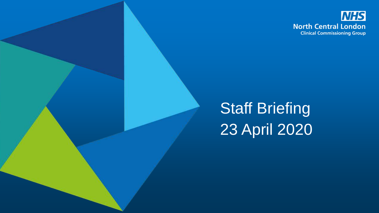

**Staff Briefing** 23 April 2020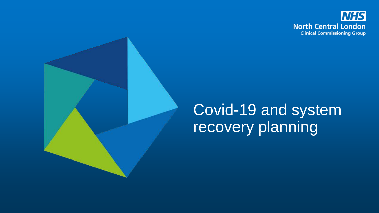

#### Covid-19 and system recovery planning

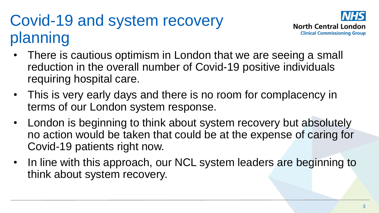# Covid-19 and system recovery planning



- There is cautious optimism in London that we are seeing a small reduction in the overall number of Covid-19 positive individuals requiring hospital care.
- This is very early days and there is no room for complacency in terms of our London system response.
- London is beginning to think about system recovery but absolutely no action would be taken that could be at the expense of caring for Covid-19 patients right now.
- In line with this approach, our NCL system leaders are beginning to think about system recovery.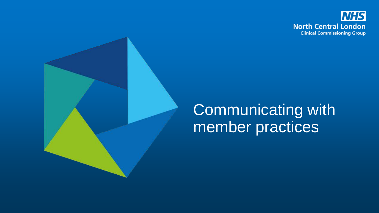

# Communicating with member practices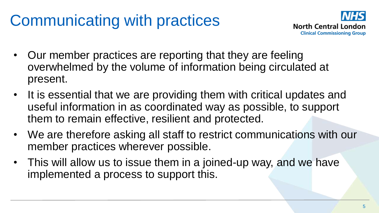# Communicating with practices



- Our member practices are reporting that they are feeling overwhelmed by the volume of information being circulated at present.
- It is essential that we are providing them with critical updates and useful information in as coordinated way as possible, to support them to remain effective, resilient and protected.
- We are therefore asking all staff to restrict communications with our member practices wherever possible.
- This will allow us to issue them in a joined-up way, and we have implemented a process to support this.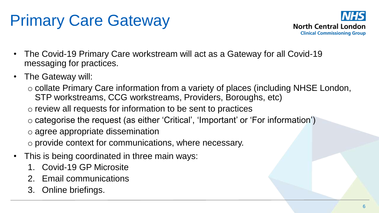# Primary Care Gateway



- The Covid-19 Primary Care workstream will act as a Gateway for all Covid-19 messaging for practices.
- The Gateway will:
	- o collate Primary Care information from a variety of places (including NHSE London, STP workstreams, CCG workstreams, Providers, Boroughs, etc)
	- o review all requests for information to be sent to practices
	- o categorise the request (as either 'Critical', 'Important' or 'For information')
	- o agree appropriate dissemination
	- o provide context for communications, where necessary.
- This is being coordinated in three main ways:
	- 1. Covid-19 GP Microsite
	- 2. Email communications
	- 3. Online briefings.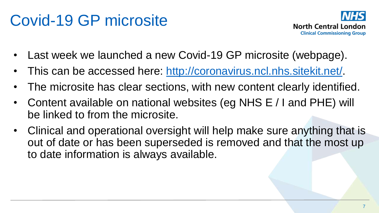# Covid-19 GP microsite



- Last week we launched a new Covid-19 GP microsite (webpage).
- This can be accessed here: [http://coronavirus.ncl.nhs.sitekit.net/.](http://coronavirus.ncl.nhs.sitekit.net/)
- The microsite has clear sections, with new content clearly identified.
- Content available on national websites (eg NHS E / I and PHE) will be linked to from the microsite.
- Clinical and operational oversight will help make sure anything that is out of date or has been superseded is removed and that the most up to date information is always available.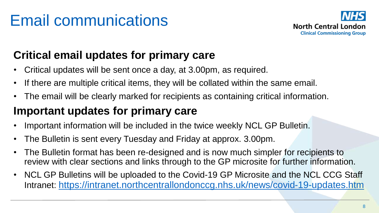# Email communications



#### **Critical email updates for primary care**

- Critical updates will be sent once a day, at 3.00pm, as required.
- If there are multiple critical items, they will be collated within the same email.
- The email will be clearly marked for recipients as containing critical information.

#### **Important updates for primary care**

- Important information will be included in the twice weekly NCL GP Bulletin.
- The Bulletin is sent every Tuesday and Friday at approx. 3.00pm.
- The Bulletin format has been re-designed and is now much simpler for recipients to review with clear sections and links through to the GP microsite for further information.
- NCL GP Bulletins will be uploaded to the Covid-19 GP Microsite and the NCL CCG Staff Intranet: <https://intranet.northcentrallondonccg.nhs.uk/news/covid-19-updates.htm>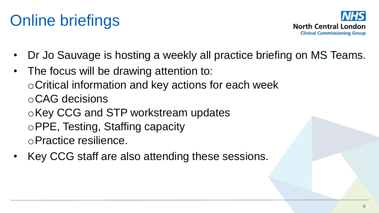# Online briefings



- Dr Jo Sauvage is hosting a weekly all practice briefing on MS Teams.
- The focus will be drawing attention to: oCritical information and key actions for each week oCAG decisions oKey CCG and STP workstream updates oPPE, Testing, Staffing capacity oPractice resilience.
- Key CCG staff are also attending these sessions.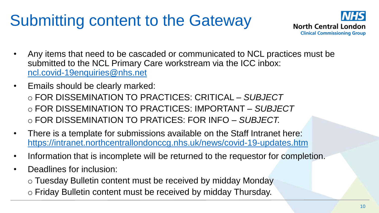# Submitting content to the Gateway



- Any items that need to be cascaded or communicated to NCL practices must be submitted to the NCL Primary Care workstream via the ICC inbox: [ncl.covid-19enquiries@nhs.net](mailto:ncl.covid-19enquiries@nhs.net)
- Emails should be clearly marked: o FOR DISSEMINATION TO PRACTICES: CRITICAL *– SUBJECT* o FOR DISSEMINATION TO PRACTICES: IMPORTANT *– SUBJECT* o FOR DISSEMINATION TO PRATICES: FOR INFO *– SUBJECT.*
- There is a template for submissions available on the Staff Intranet here: <https://intranet.northcentrallondonccg.nhs.uk/news/covid-19-updates.htm>
- Information that is incomplete will be returned to the requestor for completion.
- Deadlines for inclusion:
	- o Tuesday Bulletin content must be received by midday Monday
	- o Friday Bulletin content must be received by midday Thursday.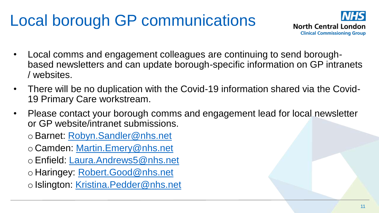# Local borough GP communications



- Local comms and engagement colleagues are continuing to send boroughbased newsletters and can update borough-specific information on GP intranets / websites.
- There will be no duplication with the Covid-19 information shared via the Covid-19 Primary Care workstream.
- Please contact your borough comms and engagement lead for local newsletter or GP website/intranet submissions.
	- oBarnet: [Robyn.Sandler@nhs.net](mailto:Robyn.Sandler@nhs.net)
	- o Camden: [Martin.Emery@nhs.net](mailto:Martin.Emery@nhs.net)
	- oEnfield: [Laura.Andrews5@nhs.net](mailto:Laura.Andrews5@nhs.net)
	- o Haringey: [Robert.Good@nhs.net](mailto:Robert.Good@nhs.net)
	- o Islington: [Kristina.Pedder@nhs.net](mailto:Kristina.Pedder@nhs.net)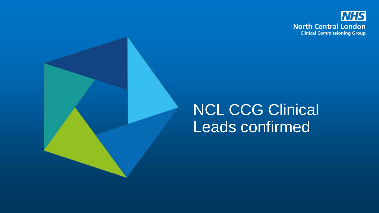

#### NCL CCG Clinical Leads confirmed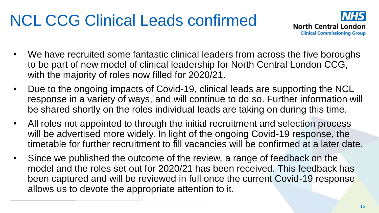# NCL CCG Clinical Leads confirmed



- We have recruited some fantastic clinical leaders from across the five boroughs to be part of new model of clinical leadership for North Central London CCG, with the majority of roles now filled for 2020/21.
- Due to the ongoing impacts of Covid-19, clinical leads are supporting the NCL response in a variety of ways, and will continue to do so. Further information will be shared shortly on the roles individual leads are taking on during this time.
- All roles not appointed to through the initial recruitment and selection process will be advertised more widely. In light of the ongoing Covid-19 response, the timetable for further recruitment to fill vacancies will be confirmed at a later date.
- Since we published the outcome of the review, a range of feedback on the model and the roles set out for 2020/21 has been received. This feedback has been captured and will be reviewed in full once the current Covid-19 response allows us to devote the appropriate attention to it.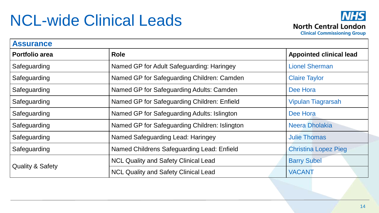#### NCL-wide Clinical Leads



**Assurance Portfolio area Role Role Role Role Role Role Role Role Role Role Role Role Role Role Role Role Role Role Role Role Role Role Role Role Role Role Role Role Role** Safeguarding **Named GP for Adult Safeguarding: Haringey Named GP for Adult Safeguarding: Haringey Lionel Sherman** Safeguarding Named GP for Safeguarding Children: Camden Claire Taylor Safeguarding Named GP for Safeguarding Adults: Camden Dee Hora Safeguarding **Named GP for Safeguarding Children: Enfield** Vipulan Tiagrarsah Safeguarding Named GP for Safeguarding Adults: Islington Dee Hora Safeguarding Named GP for Safeguarding Children: Islington Neera Dholakia Safeguarding **Named Safeguarding Lead: Haringey** Julie Thomas Safeguarding **Named Childrens Safeguarding Lead: Enfield** Christina Lopez Pieg Quality & Safety NCL Quality and Safety Clinical Lead Barry Subel NCL Quality and Safety Clinical Lead VACANT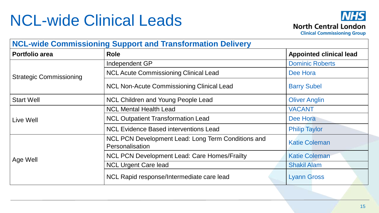### NCL-wide Clinical Leads



**Clinical Commissioning Group** 

| <b>NCL-wide Commissioning Support and Transformation Delivery</b> |                                                                       |                                |  |  |
|-------------------------------------------------------------------|-----------------------------------------------------------------------|--------------------------------|--|--|
| <b>Portfolio area</b>                                             | <b>Role</b>                                                           | <b>Appointed clinical lead</b> |  |  |
| <b>Strategic Commissioning</b>                                    | Independent GP                                                        | <b>Dominic Roberts</b>         |  |  |
|                                                                   | <b>NCL Acute Commissioning Clinical Lead</b>                          | Dee Hora                       |  |  |
|                                                                   | <b>NCL Non-Acute Commissioning Clinical Lead</b>                      | <b>Barry Subel</b>             |  |  |
| <b>Start Well</b>                                                 | <b>NCL Children and Young People Lead</b>                             | <b>Oliver Anglin</b>           |  |  |
| Live Well                                                         | <b>NCL Mental Health Lead</b>                                         | <b>VACANT</b>                  |  |  |
|                                                                   | <b>NCL Outpatient Transformation Lead</b>                             | Dee Hora                       |  |  |
|                                                                   | <b>NCL Evidence Based interventions Lead</b>                          | <b>Philip Taylor</b>           |  |  |
| Age Well                                                          | NCL PCN Development Lead: Long Term Conditions and<br>Personalisation | <b>Katie Coleman</b>           |  |  |
|                                                                   | <b>NCL PCN Development Lead: Care Homes/Frailty</b>                   | <b>Katie Coleman</b>           |  |  |
|                                                                   | <b>NCL Urgent Care lead</b>                                           | <b>Shakil Alam</b>             |  |  |
|                                                                   | NCL Rapid response/Intermediate care lead                             | <b>Lyann Gross</b>             |  |  |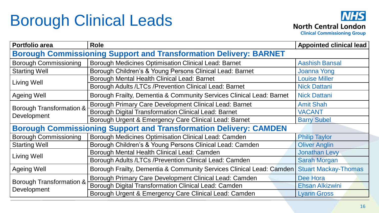# Borough Clinical Leads



**Portfolio area Role Appointed clinical lead Borough Commissioning Support and Transformation Delivery: BARNET** Borough Commissioning | Borough Medicines Optimisation Clinical Lead: Barnet | Aashish Bansal Starting Well **Subset Children's & Young Persons Clinical Lead: Barnet** Joanna Yong Living Well **Borough Mental Health Clinical Lead: Barnet** Louise Miller<br>Borough Adults /LTCs /Prevention Clinical Lead: Barnet **Research Linical Lead: Research Linical** Lead Borough Adults / LTCs / Prevention Clinical Lead: Barnet Ageing Well **Borough Frailty, Dementia & Community Services Clinical Lead: Barnet** Nick Dattani Borough Transformation & **Development** Borough Primary Care Development Clinical Lead: Barnet | Amit Shah Borough Digital Transformation Clinical Lead: Barnet VACANT Borough Urgent & Emergency Care Clinical Lead: Barnet | Barry Subel **Borough Commissioning Support and Transformation Delivery: CAMDEN** Borough Commissioning | Borough Medicines Optimisation Clinical Lead: Camden Philip Taylor Starting Well **Borough Children's & Young Persons Clinical Lead: Camden Oliver Anglin** Living Well Borough Mental Health Clinical Lead: Camden Jonathan Levy<br>Borough Adults /LTCs /Prevention Clinical Lead: Camden Sarah Morgan Borough Adults /LTCs /Prevention Clinical Lead: Camden Ageing Well **Borough Frailty, Dementia & Community Services Clinical Lead: Camden Stuart Mackay-Thomas** Borough Transformation & **Development** Borough Primary Care Development Clinical Lead: Camden Dee Hora Borough Digital Transformation Clinical Lead: Camden **Election Election Alkizwini** Borough Urgent & Emergency Care Clinical Lead: Camden | Lyann Gross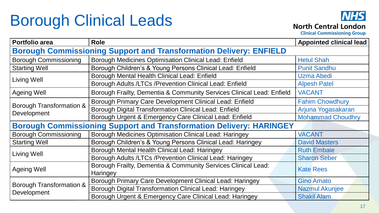# Borough Clinical Leads



**Clinical Commissioning Group** 

| <b>Portfolio area</b>                                                      | <b>Role</b>                                                           | <b>Appointed clinical lead</b> |  |  |
|----------------------------------------------------------------------------|-----------------------------------------------------------------------|--------------------------------|--|--|
| <b>Borough Commissioning Support and Transformation Delivery: ENFIELD</b>  |                                                                       |                                |  |  |
| <b>Borough Commissioning</b>                                               | <b>Borough Medicines Optimisation Clinical Lead: Enfield</b>          | <b>Hetul Shah</b>              |  |  |
| <b>Starting Well</b>                                                       | Borough Children's & Young Persons Clinical Lead: Enfield             | <b>Punit Sandhu</b>            |  |  |
| Living Well                                                                | Borough Mental Health Clinical Lead: Enfield                          | Uzma Abedi                     |  |  |
|                                                                            | Borough Adults /LTCs /Prevention Clinical Lead: Enfield               | <b>Alpesh Patel</b>            |  |  |
| <b>Ageing Well</b>                                                         | Borough Frailty, Dementia & Community Services Clinical Lead: Enfield | <b>VACANT</b>                  |  |  |
| <b>Borough Transformation &amp;</b><br>Development                         | Borough Primary Care Development Clinical Lead: Enfield               | <b>Fahim Chowdhury</b>         |  |  |
|                                                                            | Borough Digital Transformation Clinical Lead: Enfield                 | Arjuna Yogasakaran             |  |  |
|                                                                            | Borough Urgent & Emergency Care Clinical Lead: Enfield                | <b>Mohammad Choudhry</b>       |  |  |
| <b>Borough Commissioning Support and Transformation Delivery: HARINGEY</b> |                                                                       |                                |  |  |
| <b>Borough Commissioning</b>                                               | Borough Medicines Optimisation Clinical Lead: Haringey                | <b>VACANT</b>                  |  |  |
| <b>Starting Well</b>                                                       | Borough Children's & Young Persons Clinical Lead: Haringey            | <b>David Masters</b>           |  |  |
| Living Well                                                                | Borough Mental Health Clinical Lead: Haringey                         | <b>Ruth Embaie</b>             |  |  |
|                                                                            | Borough Adults /LTCs /Prevention Clinical Lead: Haringey              | <b>Sharon Seber</b>            |  |  |
| <b>Ageing Well</b>                                                         | Borough Frailty, Dementia & Community Services Clinical Lead:         | <b>Kate Rees</b>               |  |  |
|                                                                            | Haringey                                                              |                                |  |  |
| Borough Transformation &<br>Development                                    | Borough Primary Care Development Clinical Lead: Haringey              | <b>Gino Amato</b>              |  |  |
|                                                                            | Borough Digital Transformation Clinical Lead: Haringey                | <b>Nazmul Akunjee</b>          |  |  |
|                                                                            | Borough Urgent & Emergency Care Clinical Lead: Haringey               | <b>Shakil Alam</b>             |  |  |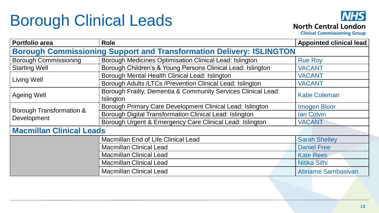# Borough Clinical Leads



**Clinical Commissioning Group** 

| <b>Portfolio area</b>                                                       | <b>Role</b>                                                   | <b>Appointed clinical lead</b> |  |  |
|-----------------------------------------------------------------------------|---------------------------------------------------------------|--------------------------------|--|--|
| <b>Borough Commissioning Support and Transformation Delivery: ISLINGTON</b> |                                                               |                                |  |  |
| <b>Borough Commissioning</b>                                                | Borough Medicines Optimisation Clinical Lead: Islington       | <b>Rue Roy</b>                 |  |  |
| <b>Starting Well</b>                                                        | Borough Children's & Young Persons Clinical Lead: Islington   | <b>VACANT</b>                  |  |  |
| Living Well                                                                 | Borough Mental Health Clinical Lead: Islington                | <b>VACANT</b>                  |  |  |
|                                                                             | Borough Adults /LTCs /Prevention Clinical Lead: Islington     | <b>VACANT</b>                  |  |  |
| <b>Ageing Well</b>                                                          | Borough Frailty, Dementia & Community Services Clinical Lead: | <b>Katie Coleman</b>           |  |  |
|                                                                             | <b>Islington</b>                                              |                                |  |  |
| Borough Transformation &<br>Development                                     | Borough Primary Care Development Clinical Lead: Islington     | <b>Imogen Bloor</b>            |  |  |
|                                                                             | Borough Digital Transformation Clinical Lead: Islington       | <b>Ian Colvin</b>              |  |  |
|                                                                             | Borough Urgent & Emergency Care Clinical Lead: Islington      | <b>VACANT</b>                  |  |  |
| <b>Macmillan Clinical Leads</b>                                             |                                                               |                                |  |  |
|                                                                             | <b>Macmillan End of Life Clinical Lead</b>                    | <b>Sarah Shelley</b>           |  |  |
|                                                                             | <b>Macmillan Clinical Lead</b>                                | <b>Daniel Free</b>             |  |  |
|                                                                             | <b>Macmillan Clinical Lead</b>                                | <b>Kate Rees</b>               |  |  |
|                                                                             | <b>Macmillan Clinical Lead</b>                                | <b>Nitika Silhi</b>            |  |  |
|                                                                             | <b>Macmillan Clinical Lead</b>                                | <b>Abriame Sambasivan</b>      |  |  |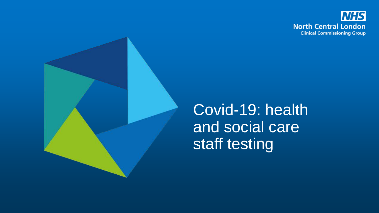



Covid-19: health and social care staff testing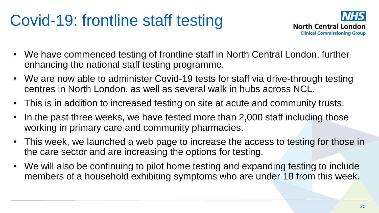# Covid-19: frontline staff testing



- We have commenced testing of frontline staff in North Central London, further enhancing the national staff testing programme.
- We are now able to administer Covid-19 tests for staff via drive-through testing centres in North London, as well as several walk in hubs across NCL.
- This is in addition to increased testing on site at acute and community trusts.
- In the past three weeks, we have tested more than 2,000 staff including those working in primary care and community pharmacies.
- This week, we launched a web page to increase the access to testing for those in the care sector and are increasing the options for testing.
- We will also be continuing to pilot home testing and expanding testing to include members of a household exhibiting symptoms who are under 18 from this week.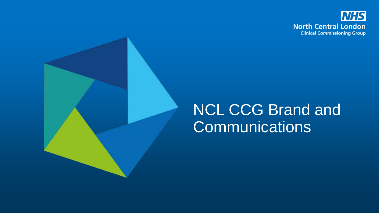

#### NCL CCG Brand and **Communications**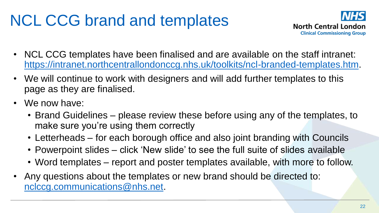# NCL CCG brand and templates



- NCL CCG templates have been finalised and are available on the staff intranet: [https://intranet.northcentrallondonccg.nhs.uk/toolkits/ncl-branded-templates.htm.](https://intranet.northcentrallondonccg.nhs.uk/toolkits/ncl-branded-templates.htm)
- We will continue to work with designers and will add further templates to this page as they are finalised.
- We now have:
	- Brand Guidelines please review these before using any of the templates, to make sure you're using them correctly
	- Letterheads for each borough office and also joint branding with Councils
	- Powerpoint slides click 'New slide' to see the full suite of slides available
	- Word templates report and poster templates available, with more to follow.
- Any questions about the templates or new brand should be directed to: [nclccg.communications@nhs.net.](mailto:nclccg.communications@nhs.net)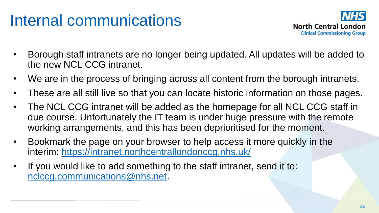### Internal communications



- Borough staff intranets are no longer being updated. All updates will be added to the new NCL CCG intranet.
- We are in the process of bringing across all content from the borough intranets.
- These are all still live so that you can locate historic information on those pages.
- The NCL CCG intranet will be added as the homepage for all NCL CCG staff in due course. Unfortunately the IT team is under huge pressure with the remote working arrangements, and this has been deprioritised for the moment.
- Bookmark the page on your browser to help access it more quickly in the interim: <https://intranet.northcentrallondonccg.nhs.uk/>
- If you would like to add something to the staff intranet, send it to: [nclccg.communications@nhs.net.](mailto:nclccg.communications@nhs.net)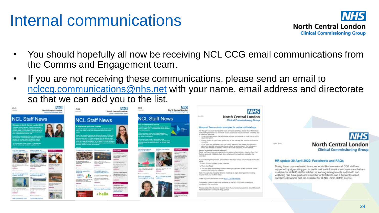#### Internal communications



- You should hopefully all now be receiving NCL CCG email communications from the Comms and Engagement team.
- If you are not receiving these communications, please send an email to [nclccg.communications@nhs.net](mailto:nclccg.communications@nhs.net) with your name, email address and directorate so that we can add you to the list.





#### HR update 20 April 2020: Factsheets and FAQs

During these unprecedented times, we would like to ensure all CCG staff are supported by signposting you to useful national information and resources that are available for all NHS staff in relation to working arrangements and health and wellbeing. We have produced a number of factsheets and a frequently asked questions document that are available for all NCL CCG staff to access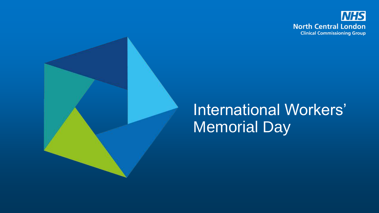

#### International Workers' Memorial Day